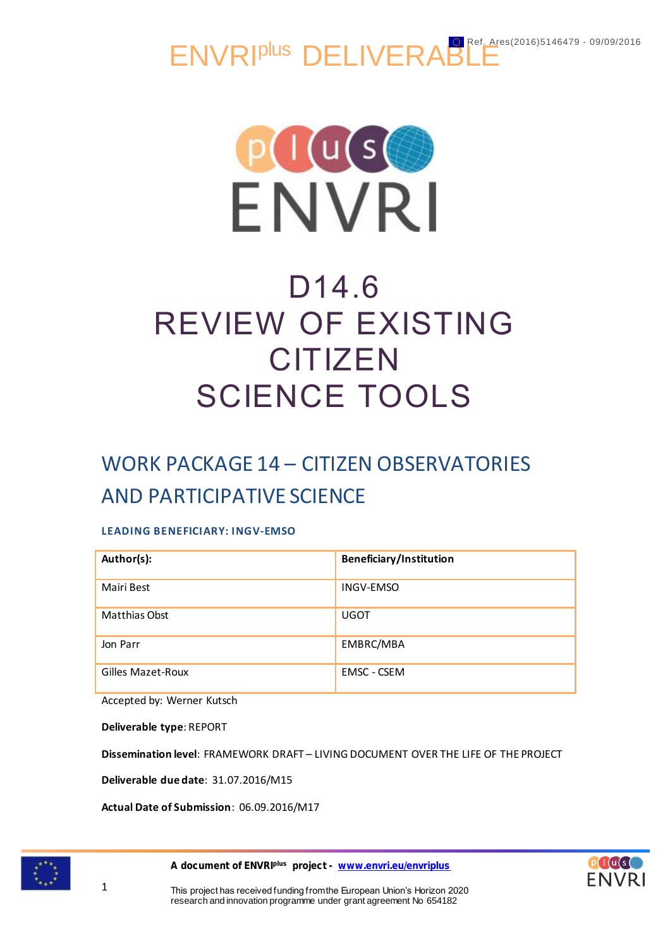ENVRI<sup>plus</sup> DELIVERABLE



# D14.6 REVIEW OF EXISTING **CITIZEN** SCIENCE TOOLS

# WORK PACKAGE 14 – CITIZEN OBSERVATORIES AND PARTICIPATIVE SCIENCE

# **LEADING BENEFICIARY: INGV-EMSO**

| Author(s):        | <b>Beneficiary/Institution</b> |
|-------------------|--------------------------------|
| Mairi Best        | <b>INGV-EMSO</b>               |
| Matthias Obst     | <b>UGOT</b>                    |
| Jon Parr          | EMBRC/MBA                      |
| Gilles Mazet-Roux | <b>EMSC - CSEM</b>             |

Accepted by: Werner Kutsch

**Deliverable type**: REPORT

**Dissemination level**: FRAMEWORK DRAFT – LIVING DOCUMENT OVER THE LIFE OF THE PROJECT

**Deliverable due date**: 31.07.2016/M15

**Actual Date of Submission**: 06.09.2016/M17



1

A document of ENVRI<sup>plus</sup> project - [www.envri.eu/envriplus](http://www.envri.eu/envriplus)

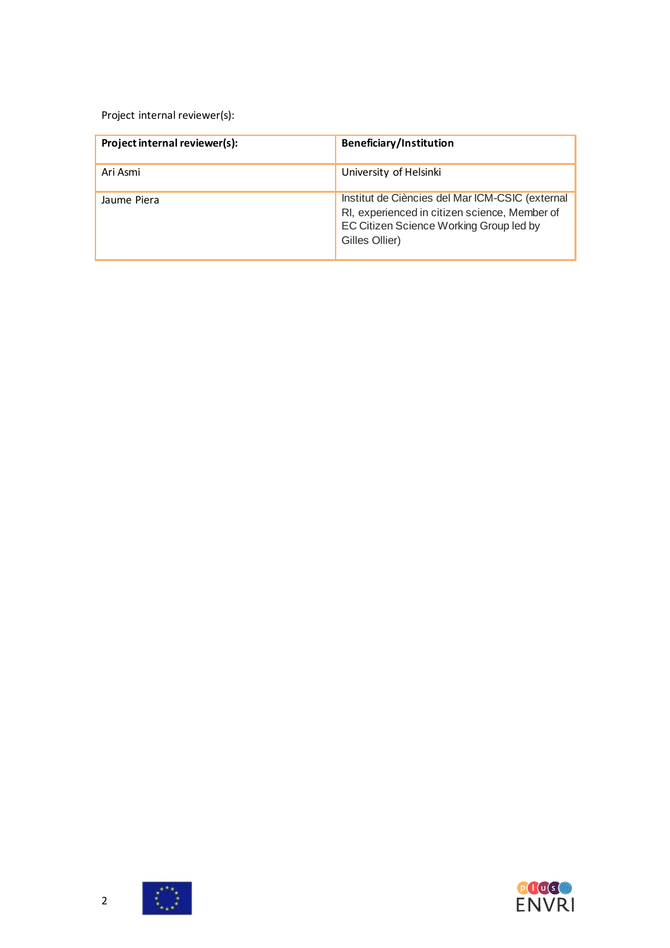Project internal reviewer(s):

| Project internal reviewer(s): | Beneficiary/Institution                                                                                                                                       |
|-------------------------------|---------------------------------------------------------------------------------------------------------------------------------------------------------------|
| Ari Asmi                      | University of Helsinki                                                                                                                                        |
| Jaume Piera                   | Institut de Ciències del Mar ICM-CSIC (external<br>RI, experienced in citizen science, Member of<br>EC Citizen Science Working Group led by<br>Gilles Ollier) |



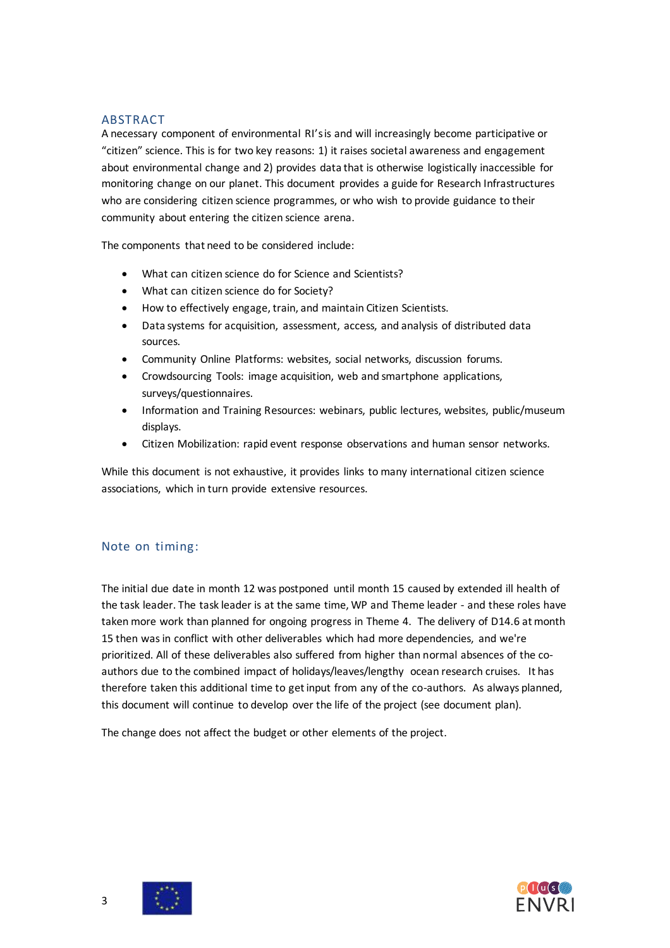#### <span id="page-2-0"></span>ABSTRACT

A necessary component of environmental RI's is and will increasingly become participative or "citizen" science. This is for two key reasons: 1) it raises societal awareness and engagement about environmental change and 2) provides data that is otherwise logistically inaccessible for monitoring change on our planet. This document provides a guide for Research Infrastructures who are considering citizen science programmes, or who wish to provide guidance to their community about entering the citizen science arena.

The components that need to be considered include:

- What can citizen science do for Science and Scientists?
- What can citizen science do for Society?
- How to effectively engage, train, and maintain Citizen Scientists.
- Data systems for acquisition, assessment, access, and analysis of distributed data sources.
- Community Online Platforms: websites, social networks, discussion forums.
- Crowdsourcing Tools: image acquisition, web and smartphone applications, surveys/questionnaires.
- Information and Training Resources: webinars, public lectures, websites, public/museum displays.
- Citizen Mobilization: rapid event response observations and human sensor networks.

While this document is not exhaustive, it provides links to many international citizen science associations, which in turn provide extensive resources.

#### Note on timing:

The initial due date in month 12 was postponed until month 15 caused by extended ill health of the task leader. The task leader is at the same time, WP and Theme leader - and these roles have taken more work than planned for ongoing progress in Theme 4. The delivery of D14.6 at month 15 then was in conflict with other deliverables which had more dependencies, and we're prioritized. All of these deliverables also suffered from higher than normal absences of the coauthors due to the combined impact of holidays/leaves/lengthy ocean research cruises. It has therefore taken this additional time to get input from any of the co-authors. As always planned, this document will continue to develop over the life of the project (see document plan).

The change does not affect the budget or other elements of the project.



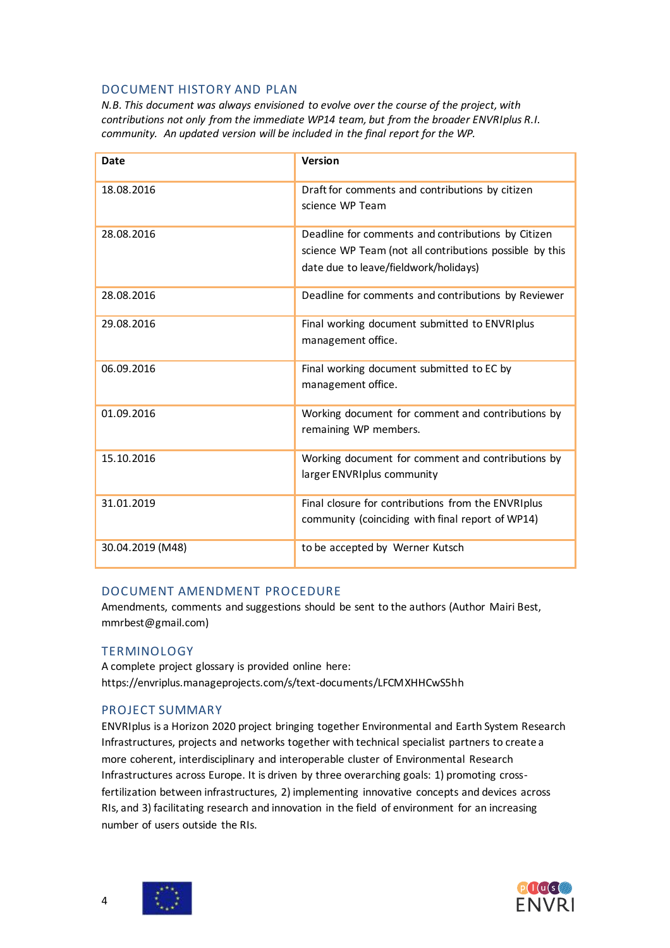#### <span id="page-3-0"></span>DOCUMENT HISTORY AND PLAN

*N.B. This document was always envisioned to evolve over the course of the project, with contributions not only from the immediate WP14 team, but from the broader ENVRIplus R.I. community. An updated version will be included in the final report for the WP.*

| Date             | Version                                                                                                                                                |
|------------------|--------------------------------------------------------------------------------------------------------------------------------------------------------|
| 18.08.2016       | Draft for comments and contributions by citizen<br>science WP Team                                                                                     |
| 28.08.2016       | Deadline for comments and contributions by Citizen<br>science WP Team (not all contributions possible by this<br>date due to leave/fieldwork/holidays) |
| 28.08.2016       | Deadline for comments and contributions by Reviewer                                                                                                    |
| 29.08.2016       | Final working document submitted to ENVRIplus<br>management office.                                                                                    |
| 06.09.2016       | Final working document submitted to EC by<br>management office.                                                                                        |
| 01.09.2016       | Working document for comment and contributions by<br>remaining WP members.                                                                             |
| 15.10.2016       | Working document for comment and contributions by<br>larger ENVRIplus community                                                                        |
| 31.01.2019       | Final closure for contributions from the ENVRIplus<br>community (coinciding with final report of WP14)                                                 |
| 30.04.2019 (M48) | to be accepted by Werner Kutsch                                                                                                                        |

#### <span id="page-3-1"></span>DOCUMENT AMENDMENT PROCEDURE

Amendments, comments and suggestions should be sent to the authors (Author Mairi Best, mmrbest@gmail.com)

#### <span id="page-3-2"></span>**TERMINOLOGY**

A complete project glossary is provided online here: https://envriplus.manageprojects.com/s/text-documents/LFCMXHHCwS5hh

#### <span id="page-3-3"></span>PROJECT SUMMARY

ENVRIplus is a Horizon 2020 project bringing together Environmental and Earth System Research Infrastructures, projects and networks together with technical specialist partners to create a more coherent, interdisciplinary and interoperable cluster of Environmental Research Infrastructures across Europe. It is driven by three overarching goals: 1) promoting crossfertilization between infrastructures, 2) implementing innovative concepts and devices across RIs, and 3) facilitating research and innovation in the field of environment for an increasing number of users outside the RIs.

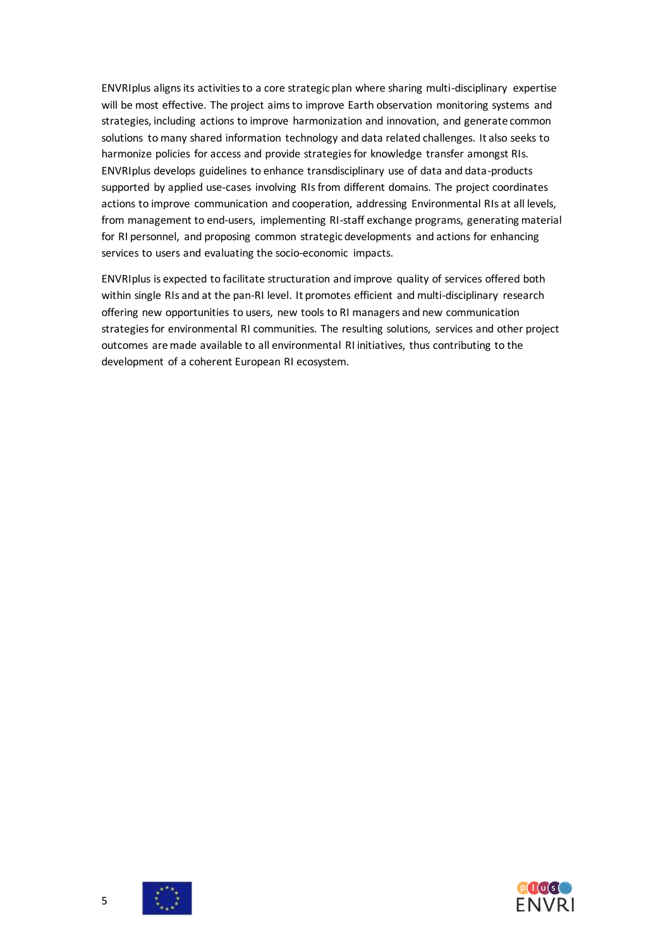ENVRIplus aligns its activities to a core strategic plan where sharing multi-disciplinary expertise will be most effective. The project aims to improve Earth observation monitoring systems and strategies, including actions to improve harmonization and innovation, and generate common solutions to many shared information technology and data related challenges. It also seeks to harmonize policies for access and provide strategies for knowledge transfer amongst RIs. ENVRIplus develops guidelines to enhance transdisciplinary use of data and data-products supported by applied use-cases involving RIs from different domains. The project coordinates actions to improve communication and cooperation, addressing Environmental RIs at all levels, from management to end-users, implementing RI-staff exchange programs, generating material for RI personnel, and proposing common strategic developments and actions for enhancing services to users and evaluating the socio-economic impacts.

<span id="page-4-0"></span>ENVRIplus is expected to facilitate structuration and improve quality of services offered both within single RIs and at the pan-RI level. It promotes efficient and multi-disciplinary research offering new opportunities to users, new tools to RI managers and new communication strategies for environmental RI communities. The resulting solutions, services and other project outcomes are made available to all environmental RI initiatives, thus contributing to the development of a coherent European RI ecosystem.



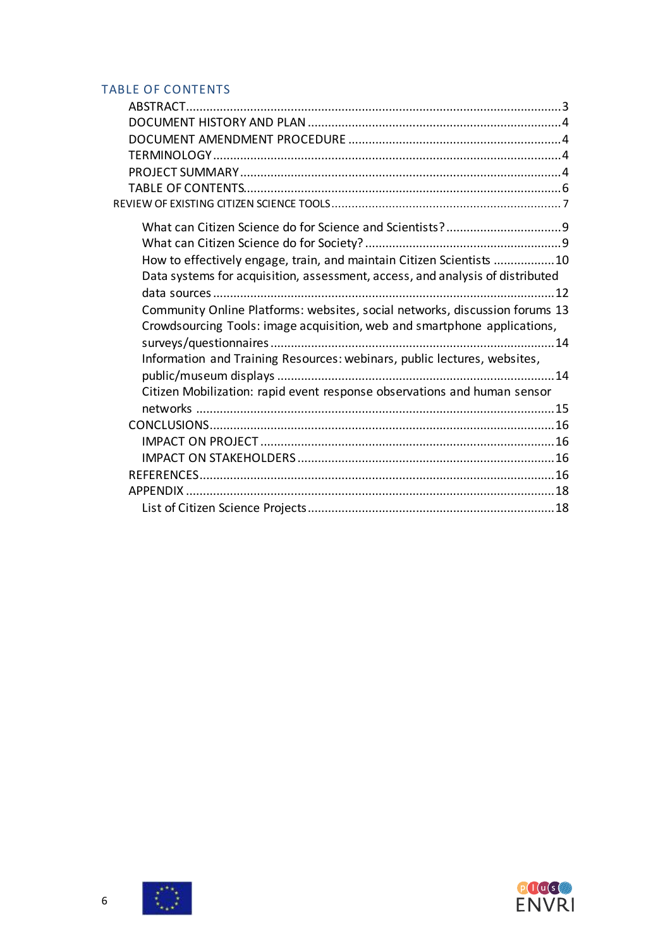# TABLE OF CONTENTS

| How to effectively engage, train, and maintain Citizen Scientists 10          |  |
|-------------------------------------------------------------------------------|--|
| Data systems for acquisition, assessment, access, and analysis of distributed |  |
|                                                                               |  |
| Community Online Platforms: websites, social networks, discussion forums 13   |  |
| Crowdsourcing Tools: image acquisition, web and smartphone applications,      |  |
|                                                                               |  |
| Information and Training Resources: webinars, public lectures, websites,      |  |
|                                                                               |  |
| Citizen Mobilization: rapid event response observations and human sensor      |  |
|                                                                               |  |
|                                                                               |  |
|                                                                               |  |
|                                                                               |  |
|                                                                               |  |
|                                                                               |  |
|                                                                               |  |



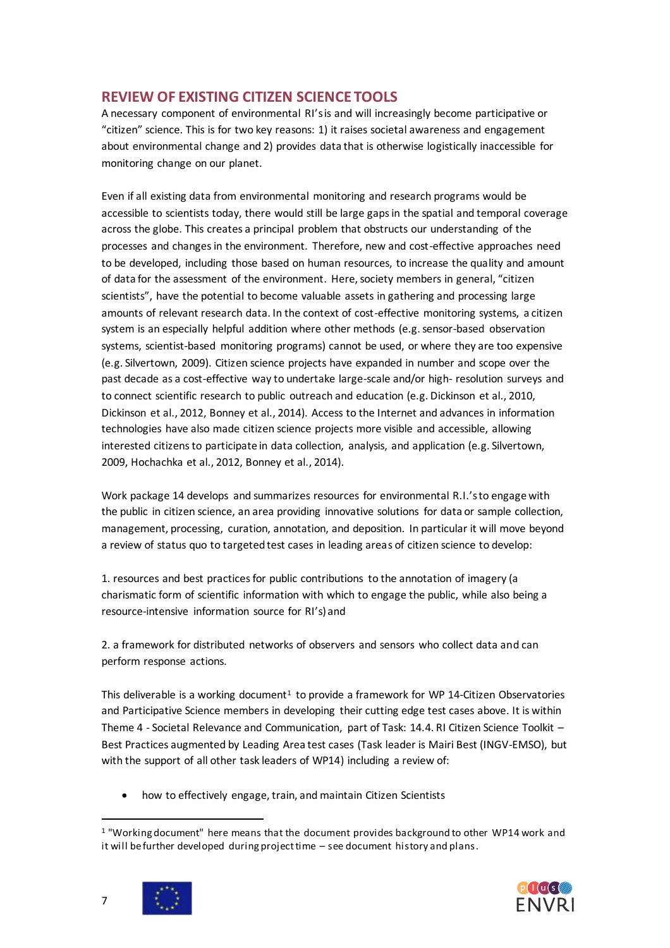# <span id="page-6-0"></span>**REVIEW OF EXISTING CITIZEN SCIENCE TOOLS**

A necessary component of environmental RI's is and will increasingly become participative or "citizen" science. This is for two key reasons: 1) it raises societal awareness and engagement about environmental change and 2) provides data that is otherwise logistically inaccessible for monitoring change on our planet.

Even if all existing data from environmental monitoring and research programs would be accessible to scientists today, there would still be large gaps in the spatial and temporal coverage across the globe. This creates a principal problem that obstructs our understanding of the processes and changes in the environment. Therefore, new and cost-effective approaches need to be developed, including those based on human resources, to increase the quality and amount of data for the assessment of the environment. Here, society members in general, "citizen scientists", have the potential to become valuable assets in gathering and processing large amounts of relevant research data. In the context of cost-effective monitoring systems, a citizen system is an especially helpful addition where other methods (e.g. sensor-based observation systems, scientist-based monitoring programs) cannot be used, or where they are too expensive (e.g. Silvertown, 2009). Citizen science projects have expanded in number and scope over the past decade as a cost-effective way to undertake large-scale and/or high- resolution surveys and to connect scientific research to public outreach and education (e.g. Dickinson et al., 2010, Dickinson et al., 2012, Bonney et al., 2014). Access to the Internet and advances in information technologies have also made citizen science projects more visible and accessible, allowing interested citizens to participate in data collection, analysis, and application (e.g. Silvertown, 2009, Hochachka et al., 2012, Bonney et al., 2014).

Work package 14 develops and summarizes resources for environmental R.I.'s to engage with the public in citizen science, an area providing innovative solutions for data or sample collection, management, processing, curation, annotation, and deposition. In particular it will move beyond a review of status quo to targeted test cases in leading areas of citizen science to develop:

1. resources and best practices for public contributions to the annotation of imagery (a charismatic form of scientific information with which to engage the public, while also being a resource-intensive information source for RI's) and

2. a framework for distributed networks of observers and sensors who collect data and can perform response actions.

This deliverable is a working document<sup>1</sup> to provide a framework for WP 14-Citizen Observatories and Participative Science members in developing their cutting edge test cases above. It is within Theme 4 - Societal Relevance and Communication, part of Task: 14.4. RI Citizen Science Toolkit – Best Practices augmented by Leading Area test cases (Task leader is Mairi Best (INGV-EMSO), but with the support of all other task leaders of WP14) including a review of:

how to effectively engage, train, and maintain Citizen Scientists

<sup>1</sup> "Working document" here means that the document provides background to other WP14 work and it will be further developed during project time – see document history and plans.



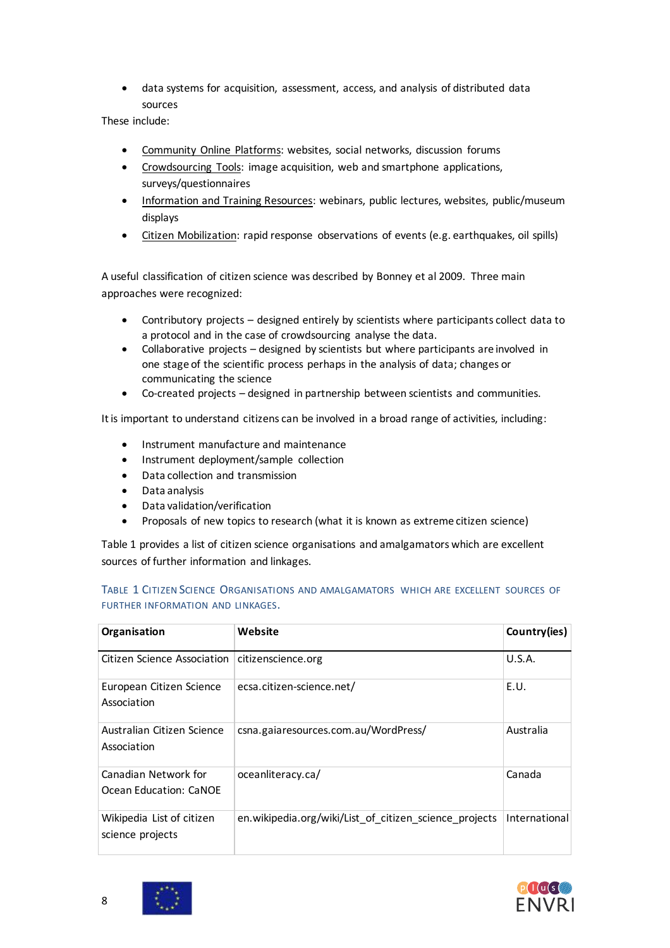data systems for acquisition, assessment, access, and analysis of distributed data sources

These include:

- Community Online Platforms: websites, social networks, discussion forums
- Crowdsourcing Tools: image acquisition, web and smartphone applications, surveys/questionnaires
- Information and Training Resources: webinars, public lectures, websites, public/museum displays
- Citizen Mobilization: rapid response observations of events (e.g. earthquakes, oil spills)

A useful classification of citizen science was described by Bonney et al 2009. Three main approaches were recognized:

- Contributory projects designed entirely by scientists where participants collect data to a protocol and in the case of crowdsourcing analyse the data.
- Collaborative projects designed by scientists but where participants are involved in one stage of the scientific process perhaps in the analysis of data; changes or communicating the science
- Co-created projects designed in partnership between scientists and communities.

It is important to understand citizens can be involved in a broad range of activities, including:

- Instrument manufacture and maintenance
- Instrument deployment/sample collection
- Data collection and transmission
- Data analysis
- Data validation/verification
- Proposals of new topics to research (what it is known as extreme citizen science)

Table 1 provides a list of citizen science organisations and amalgamators which are excellent sources of further information and linkages.

| Organisation                                   | Website                                                | Country(ies)  |
|------------------------------------------------|--------------------------------------------------------|---------------|
| Citizen Science Association                    | citizenscience.org                                     | U.S.A.        |
| European Citizen Science<br>Association        | ecsa.citizen-science.net/                              | E.U.          |
| Australian Citizen Science<br>Association      | csna.gaiaresources.com.au/WordPress/                   | Australia     |
| Canadian Network for<br>Ocean Education: CaNOE | oceanliteracy.ca/                                      | Canada        |
| Wikipedia List of citizen<br>science projects  | en.wikipedia.org/wiki/List of citizen science projects | International |

TABLE 1 CITIZEN SCIENCE ORGANISATIONS AND AMALGAMATORS WHICH ARE EXCELLENT SOURCES OF FURTHER INFORMATION AND LINKAGES.



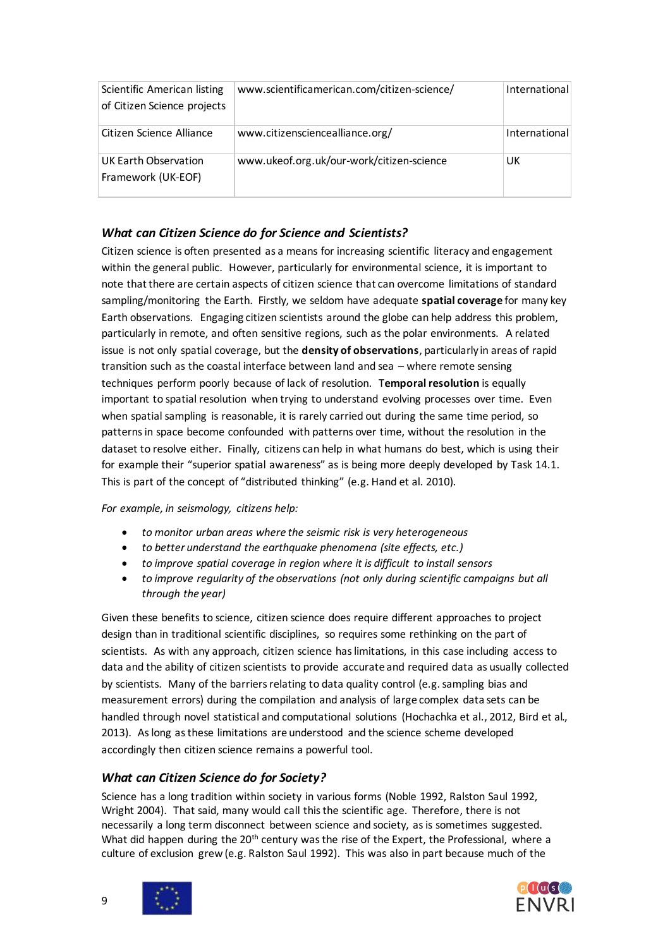| Scientific American listing<br>of Citizen Science projects | www.scientificamerican.com/citizen-science/ | International |
|------------------------------------------------------------|---------------------------------------------|---------------|
| Citizen Science Alliance                                   | www.citizensciencealliance.org/             | International |
| UK Earth Observation<br>Framework (UK-EOF)                 | www.ukeof.org.uk/our-work/citizen-science   | UK            |

### <span id="page-8-0"></span>*What can Citizen Science do for Science and Scientists?*

Citizen science is often presented as a means for increasing scientific literacy and engagement within the general public. However, particularly for environmental science, it is important to note that there are certain aspects of citizen science that can overcome limitations of standard sampling/monitoring the Earth. Firstly, we seldom have adequate **spatial coverage** for many key Earth observations. Engaging citizen scientists around the globe can help address this problem, particularly in remote, and often sensitive regions, such as the polar environments. A related issue is not only spatial coverage, but the **density of observations**, particularly in areas of rapid transition such as the coastal interface between land and sea – where remote sensing techniques perform poorly because of lack of resolution. T**emporal resolution** is equally important to spatial resolution when trying to understand evolving processes over time. Even when spatial sampling is reasonable, it is rarely carried out during the same time period, so patterns in space become confounded with patterns over time, without the resolution in the dataset to resolve either. Finally, citizens can help in what humans do best, which is using their for example their "superior spatial awareness" as is being more deeply developed by Task 14.1. This is part of the concept of "distributed thinking" (e.g. Hand et al. 2010).

#### *For example, in seismology, citizens help:*

- *to monitor urban areas where the seismic risk is very heterogeneous*
- *to better understand the earthquake phenomena (site effects, etc.)*
- *to improve spatial coverage in region where it is difficult to install sensors*
- *to improve regularity of the observations (not only during scientific campaigns but all through the year)*

Given these benefits to science, citizen science does require different approaches to project design than in traditional scientific disciplines, so requires some rethinking on the part of scientists. As with any approach, citizen science has limitations, in this case including access to data and the ability of citizen scientists to provide accurate and required data as usually collected by scientists. Many of the barriers relating to data quality control (e.g. sampling bias and measurement errors) during the compilation and analysis of large complex data sets can be handled through novel statistical and computational solutions (Hochachka et al., 2012, Bird et al., 2013). As long as these limitations are understood and the science scheme developed accordingly then citizen science remains a powerful tool.

# <span id="page-8-1"></span>*What can Citizen Science do for Society?*

Science has a long tradition within society in various forms (Noble 1992, Ralston Saul 1992, Wright 2004). That said, many would call this the scientific age. Therefore, there is not necessarily a long term disconnect between science and society, as is sometimes suggested. What did happen during the 20<sup>th</sup> century was the rise of the Expert, the Professional, where a culture of exclusion grew (e.g. Ralston Saul 1992). This was also in part because much of the



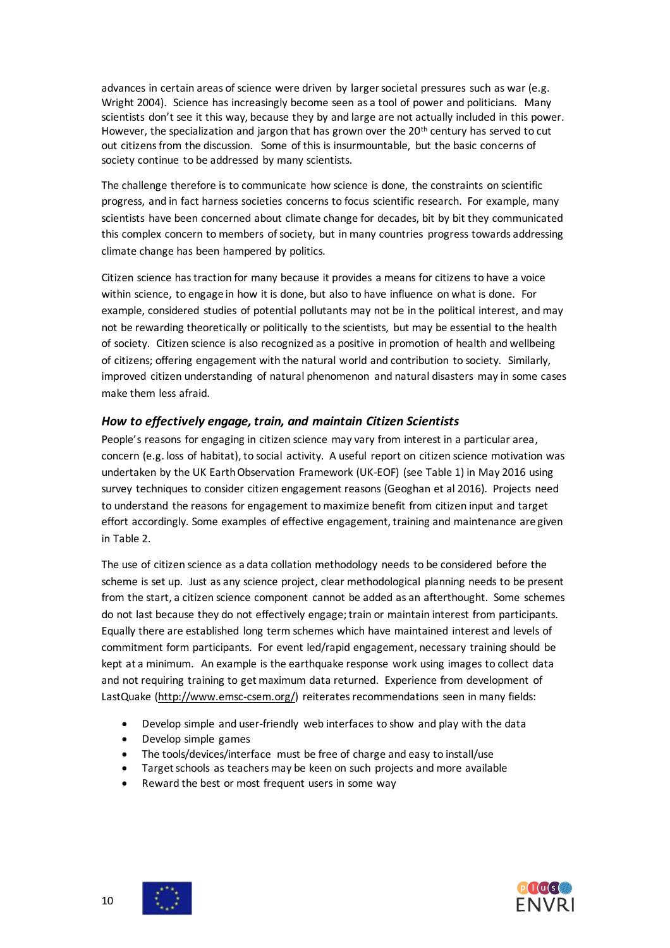advances in certain areas of science were driven by larger societal pressures such as war (e.g. Wright 2004). Science has increasingly become seen as a tool of power and politicians. Many scientists don't see it this way, because they by and large are not actually included in this power. However, the specialization and jargon that has grown over the  $20<sup>th</sup>$  century has served to cut out citizens from the discussion. Some of this is insurmountable, but the basic concerns of society continue to be addressed by many scientists.

The challenge therefore is to communicate how science is done, the constraints on scientific progress, and in fact harness societies concerns to focus scientific research. For example, many scientists have been concerned about climate change for decades, bit by bit they communicated this complex concern to members of society, but in many countries progress towards addressing climate change has been hampered by politics.

Citizen science has traction for many because it provides a means for citizens to have a voice within science, to engage in how it is done, but also to have influence on what is done. For example, considered studies of potential pollutants may not be in the political interest, and may not be rewarding theoretically or politically to the scientists, but may be essential to the health of society. Citizen science is also recognized as a positive in promotion of health and wellbeing of citizens; offering engagement with the natural world and contribution to society. Similarly, improved citizen understanding of natural phenomenon and natural disasters may in some cases make them less afraid.

#### <span id="page-9-0"></span>*How to effectively engage, train, and maintain Citizen Scientists*

People's reasons for engaging in citizen science may vary from interest in a particular area, concern (e.g. loss of habitat), to social activity. A useful report on citizen science motivation was undertaken by the UK Earth Observation Framework (UK-EOF) (see Table 1) in May 2016 using survey techniques to consider citizen engagement reasons (Geoghan et al 2016). Projects need to understand the reasons for engagement to maximize benefit from citizen input and target effort accordingly. Some examples of effective engagement, training and maintenance are given in Table 2.

The use of citizen science as a data collation methodology needs to be considered before the scheme is set up. Just as any science project, clear methodological planning needs to be present from the start, a citizen science component cannot be added as an afterthought. Some schemes do not last because they do not effectively engage; train or maintain interest from participants. Equally there are established long term schemes which have maintained interest and levels of commitment form participants. For event led/rapid engagement, necessary training should be kept at a minimum. An example is the earthquake response work using images to collect data and not requiring training to get maximum data returned. Experience from development of LastQuake [\(http://www.emsc-csem.org/\)](http://www.emsc-csem.org/) reiterates recommendations seen in many fields:

- Develop simple and user-friendly web interfaces to show and play with the data
- Develop simple games
- The tools/devices/interface must be free of charge and easy to install/use
- Target schools as teachers may be keen on such projects and more available
- Reward the best or most frequent users in some way



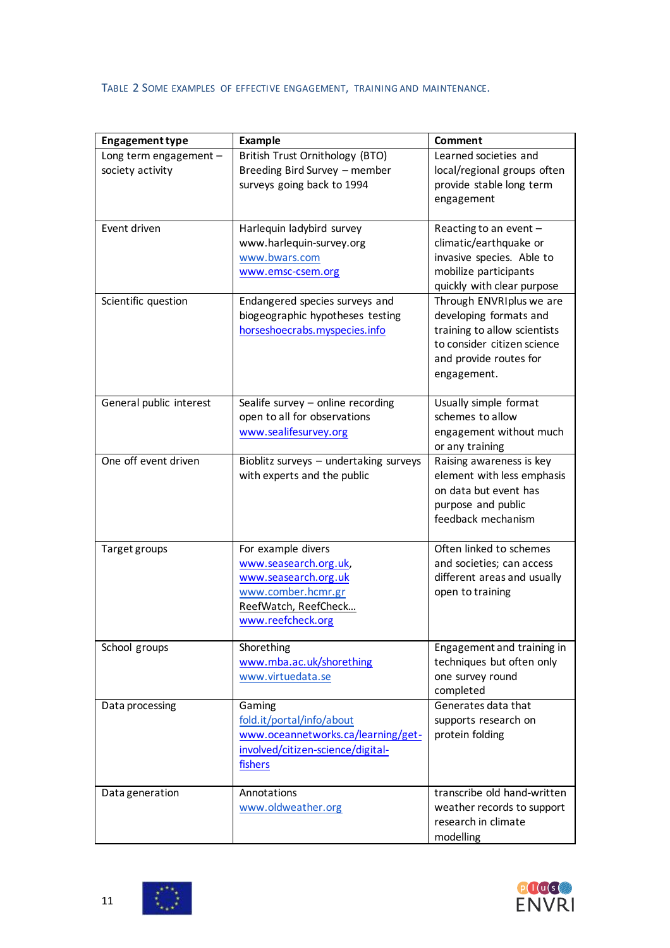# TABLE 2 SOME EXAMPLES OF EFFECTIVE ENGAGEMENT, TRAINING AND MAINTENANCE.

| <b>Engagement type</b>                     | <b>Example</b>                                                                                                                         | Comment                                                                                                                                                    |
|--------------------------------------------|----------------------------------------------------------------------------------------------------------------------------------------|------------------------------------------------------------------------------------------------------------------------------------------------------------|
| Long term engagement -<br>society activity | British Trust Ornithology (BTO)<br>Breeding Bird Survey - member<br>surveys going back to 1994                                         | Learned societies and<br>local/regional groups often<br>provide stable long term<br>engagement                                                             |
| Event driven                               | Harlequin ladybird survey<br>www.harlequin-survey.org<br>www.bwars.com<br>www.emsc-csem.org                                            | Reacting to an event -<br>climatic/earthquake or<br>invasive species. Able to<br>mobilize participants<br>quickly with clear purpose                       |
| Scientific question                        | Endangered species surveys and<br>biogeographic hypotheses testing<br>horseshoecrabs.myspecies.info                                    | Through ENVRIplus we are<br>developing formats and<br>training to allow scientists<br>to consider citizen science<br>and provide routes for<br>engagement. |
| General public interest                    | Sealife survey $-$ online recording<br>open to all for observations<br>www.sealifesurvey.org                                           | Usually simple format<br>schemes to allow<br>engagement without much<br>or any training                                                                    |
| One off event driven                       | Bioblitz surveys - undertaking surveys<br>with experts and the public                                                                  | Raising awareness is key<br>element with less emphasis<br>on data but event has<br>purpose and public<br>feedback mechanism                                |
| Target groups                              | For example divers<br>www.seasearch.org.uk,<br>www.seasearch.org.uk<br>www.comber.hcmr.gr<br>ReefWatch, ReefCheck<br>www.reefcheck.org | Often linked to schemes<br>and societies; can access<br>different areas and usually<br>open to training                                                    |
| School groups                              | Shorething<br>www.mba.ac.uk/shorething<br>www.virtuedata.se                                                                            | Engagement and training in<br>techniques but often only<br>one survey round<br>completed                                                                   |
| Data processing                            | Gaming<br>fold.it/portal/info/about<br>www.oceannetworks.ca/learning/get-<br>involved/citizen-science/digital-<br>fishers              | Generates data that<br>supports research on<br>protein folding                                                                                             |
| Data generation                            | Annotations<br>www.oldweather.org                                                                                                      | transcribe old hand-written<br>weather records to support<br>research in climate<br>modelling                                                              |



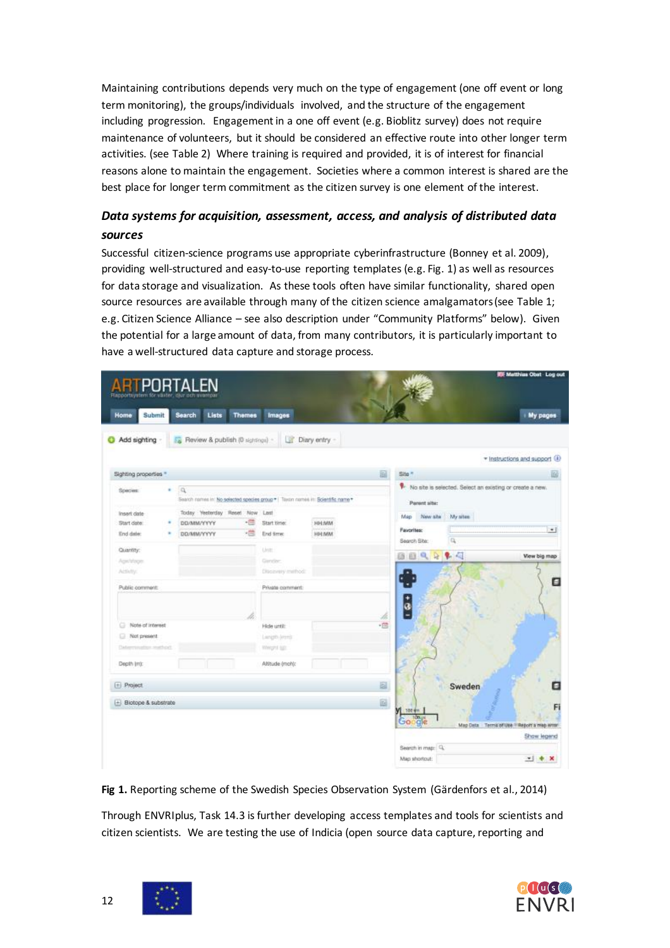Maintaining contributions depends very much on the type of engagement (one off event or long term monitoring), the groups/individuals involved, and the structure of the engagement including progression. Engagement in a one off event (e.g. Bioblitz survey) does not require maintenance of volunteers, but it should be considered an effective route into other longer term activities. (see Table 2) Where training is required and provided, it is of interest for financial reasons alone to maintain the engagement. Societies where a common interest is shared are the best place for longer term commitment as the citizen survey is one element of the interest.

# <span id="page-11-0"></span>*Data systems for acquisition, assessment, access, and analysis of distributed data sources*

Successful citizen-science programs use appropriate cyberinfrastructure (Bonney et al. 2009), providing well-structured and easy-to-use reporting templates (e.g. Fig. 1) as well as resources for data storage and visualization. As these tools often have similar functionality, shared open source resources are available through many of the citizen science amalgamators (see Table 1; e.g. Citizen Science Alliance – see also description under "Community Platforms" below). Given the potential for a large amount of data, from many contributors, it is particularly important to have a well-structured data capture and storage process.

| <b>IS Matthias Obst Log out</b>                             |          |                                   |              |                             |               |                                                                                              |   | RTPORTALEN                             |
|-------------------------------------------------------------|----------|-----------------------------------|--------------|-----------------------------|---------------|----------------------------------------------------------------------------------------------|---|----------------------------------------|
| Hy pages                                                    |          |                                   |              | Images                      | <b>Themes</b> | Lists<br>Search                                                                              |   | Home<br>Submit                         |
|                                                             |          |                                   |              | Diary entry -<br>13         |               | Review & publish (0 sightings) -                                                             |   | Add sighting                           |
| * Instructions and support (4)                              |          |                                   |              |                             |               |                                                                                              |   |                                        |
|                                                             |          | 圖<br>Site <sup>*</sup>            |              |                             |               |                                                                                              |   | Sighting properties *                  |
| V. No alte is selected. Select an existing or create a new. |          | Parent site:                      |              |                             |               | $\alpha$<br>Search nomes in: No selected species group *   Toxon nomes in: Scientific name * | ٠ | Species:                               |
|                                                             | My sites | Map New site                      | HH:MM        | Start time:                 | - 크           | Today Yesterday Reset Now Last<br><b>DEVIMA/YYYY</b>                                         |   | <b>Insert date</b><br>Start date:      |
| $-1$                                                        | $\alpha$ | <b>Favorites:</b><br>Search Site: | <b>HH:MM</b> | End time:                   | - 65          | <b>DD/MM/YYYY</b>                                                                            |   | End date:                              |
| View big map                                                | 多周<br>發  | 自自气                               |              |                             | <b>Uviti</b>  |                                                                                              |   | Quantity:                              |
|                                                             |          |                                   |              | Gender<br>Discovery method: |               |                                                                                              |   | Age/Voge<br>Attivity.                  |
| 0                                                           |          | $\left  \frac{1}{3} \right $      |              | Private comment:            |               |                                                                                              |   | Public comment:                        |
|                                                             |          | B<br>-13                          |              | Hide until:                 |               |                                                                                              |   | Note of interest                       |
|                                                             |          |                                   |              | Langib (mm):                |               |                                                                                              |   | Not present                            |
|                                                             |          |                                   |              | Imaged spt.                 |               |                                                                                              |   | Determination method.                  |
|                                                             |          |                                   |              | Altitude (moh):             |               |                                                                                              |   | Depth Imt:                             |
| Θ                                                           | Sweden   | 圖                                 |              |                             |               |                                                                                              |   | $E$ Project                            |
| Fi                                                          |          | 国<br>$M_{100} +$<br>Google        |              |                             |               |                                                                                              |   | $\left  + \right $ Biotope & substrate |
| Map Deta Terms of Use 11 Report's map arost<br>Show legend  |          |                                   |              |                             |               |                                                                                              |   |                                        |
|                                                             |          | Search in map: Q                  |              |                             |               |                                                                                              |   |                                        |
| $-1 + x$                                                    |          | Map shortcut:                     |              |                             |               |                                                                                              |   |                                        |

**Fig 1.** Reporting scheme of the Swedish Species Observation System (Gärdenfors et al., 2014)

Through ENVRIplus, Task 14.3 isfurther developing access templates and tools for scientists and citizen scientists. We are testing the use of Indicia (open source data capture, reporting and



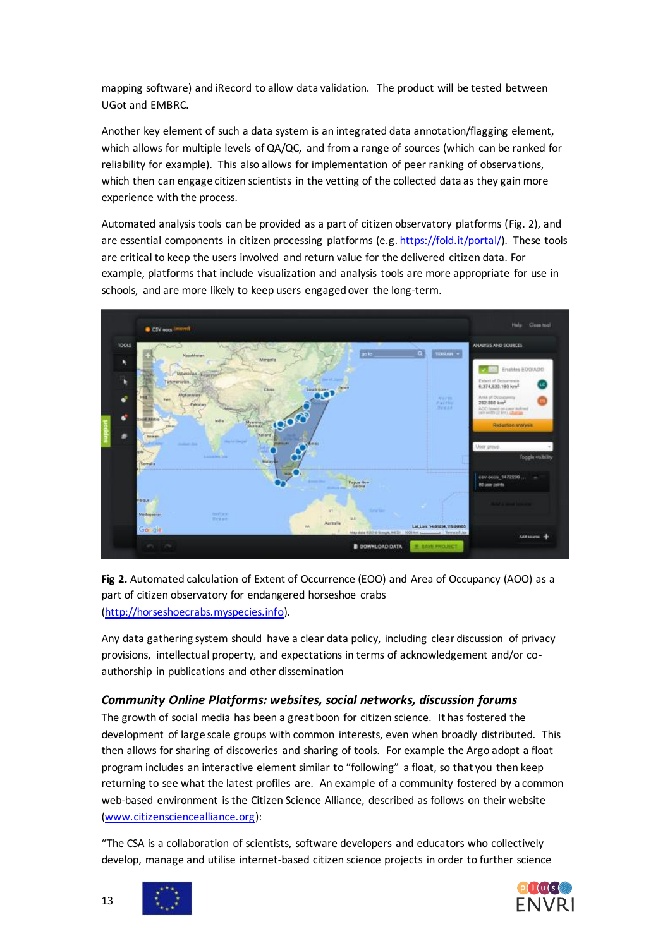mapping software) and iRecord to allow data validation. The product will be tested between UGot and EMBRC.

Another key element of such a data system is an integrated data annotation/flagging element, which allows for multiple levels of QA/QC, and from a range of sources (which can be ranked for reliability for example). This also allows for implementation of peer ranking of observations, which then can engage citizen scientists in the vetting of the collected data as they gain more experience with the process.

Automated analysis tools can be provided as a part of citizen observatory platforms (Fig. 2), and are essential components in citizen processing platforms (e.g[. https://fold.it/portal/\).](https://fold.it/portal/) These tools are critical to keep the users involved and return value for the delivered citizen data. For example, platforms that include visualization and analysis tools are more appropriate for use in schools, and are more likely to keep users engaged over the long-term.



# Fig 2. Automated calculation of Extent of Occurrence (EOO) and Area of Occupancy (AOO) as a part of citizen observatory for endangered horseshoe crabs [\(http://horseshoecrabs.myspecies.info\).](http://horseshoecrabs.myspecies.info/)

Any data gathering system should have a clear data policy, including clear discussion of privacy provisions, intellectual property, and expectations in terms of acknowledgement and/or coauthorship in publications and other dissemination

#### <span id="page-12-0"></span>*Community Online Platforms: websites, social networks, discussion forums*

The growth of social media has been a great boon for citizen science. It has fostered the development of large scale groups with common interests, even when broadly distributed. This then allows for sharing of discoveries and sharing of tools. For example the Argo adopt a float program includes an interactive element similar to "following" a float, so that you then keep returning to see what the latest profiles are. An example of a community fostered by a common web-based environment is the Citizen Science Alliance, described as follows on their website [\(www.citizensciencealliance.org\)](http://www.citizensciencealliance.org/):

"The CSA is a collaboration of scientists, software developers and educators who collectively develop, manage and utilise internet-based citizen science projects in order to further science



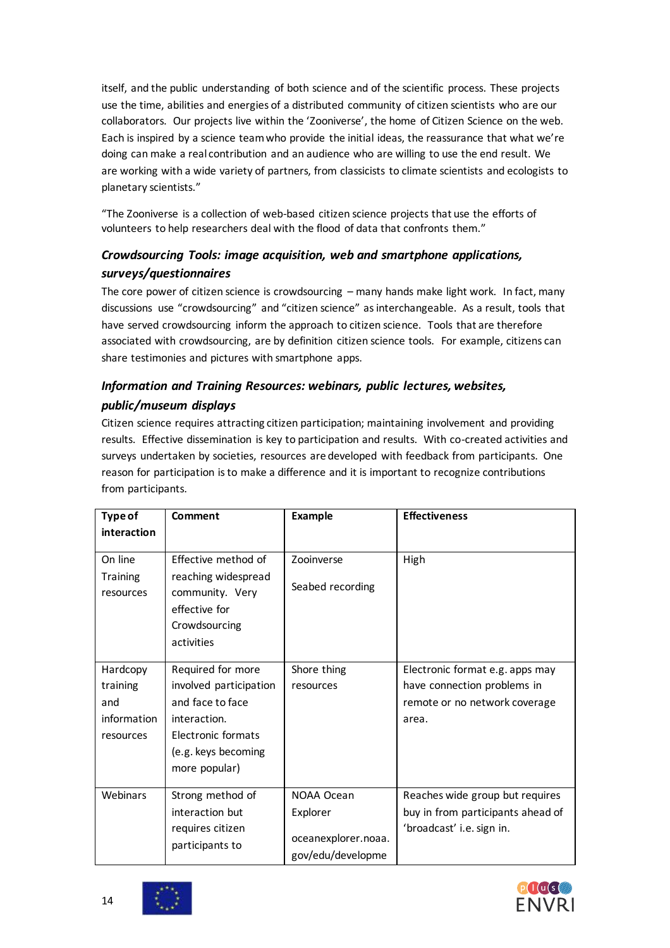itself, and the public understanding of both science and of the scientific process. These projects use the time, abilities and energies of a distributed community of citizen scientists who are our collaborators. Our projects live within the 'Zooniverse', the home of Citizen Science on the web. Each is inspired by a science team who provide the initial ideas, the reassurance that what we're doing can make a real contribution and an audience who are willing to use the end result. We are working with a wide variety of partners, from classicists to climate scientists and ecologists to planetary scientists."

"The Zooniverse is a collection of web-based citizen science projects that use the efforts of volunteers to help researchers deal with the flood of data that confronts them."

# <span id="page-13-0"></span>*Crowdsourcing Tools: image acquisition, web and smartphone applications, surveys/questionnaires*

The core power of citizen science is crowdsourcing – many hands make light work. In fact, many discussions use "crowdsourcing" and "citizen science" as interchangeable. As a result, tools that have served crowdsourcing inform the approach to citizen science. Tools that are therefore associated with crowdsourcing, are by definition citizen science tools. For example, citizens can share testimonies and pictures with smartphone apps.

# <span id="page-13-1"></span>*Information and Training Resources: webinars, public lectures, websites, public/museum displays*

Citizen science requires attracting citizen participation; maintaining involvement and providing results. Effective dissemination is key to participation and results. With co-created activities and surveys undertaken by societies, resources are developed with feedback from participants. One reason for participation is to make a difference and it is important to recognize contributions from participants.

| Type of                                                 | Comment                                                                                                                                       | <b>Example</b>                                                     | <b>Effectiveness</b>                                                                                     |
|---------------------------------------------------------|-----------------------------------------------------------------------------------------------------------------------------------------------|--------------------------------------------------------------------|----------------------------------------------------------------------------------------------------------|
| interaction                                             |                                                                                                                                               |                                                                    |                                                                                                          |
| On line<br><b>Training</b><br>resources                 | Effective method of<br>reaching widespread<br>community. Very<br>effective for<br>Crowdsourcing<br>activities                                 | Zooinverse<br>Seabed recording                                     | High                                                                                                     |
| Hardcopy<br>training<br>and<br>information<br>resources | Required for more<br>involved participation<br>and face to face<br>interaction.<br>Electronic formats<br>(e.g. keys becoming<br>more popular) | Shore thing<br>resources                                           | Electronic format e.g. apps may<br>have connection problems in<br>remote or no network coverage<br>area. |
| Webinars                                                | Strong method of<br>interaction but<br>requires citizen<br>participants to                                                                    | NOAA Ocean<br>Explorer<br>oceanexplorer.noaa.<br>gov/edu/developme | Reaches wide group but requires<br>buy in from participants ahead of<br>'broadcast' i.e. sign in.        |

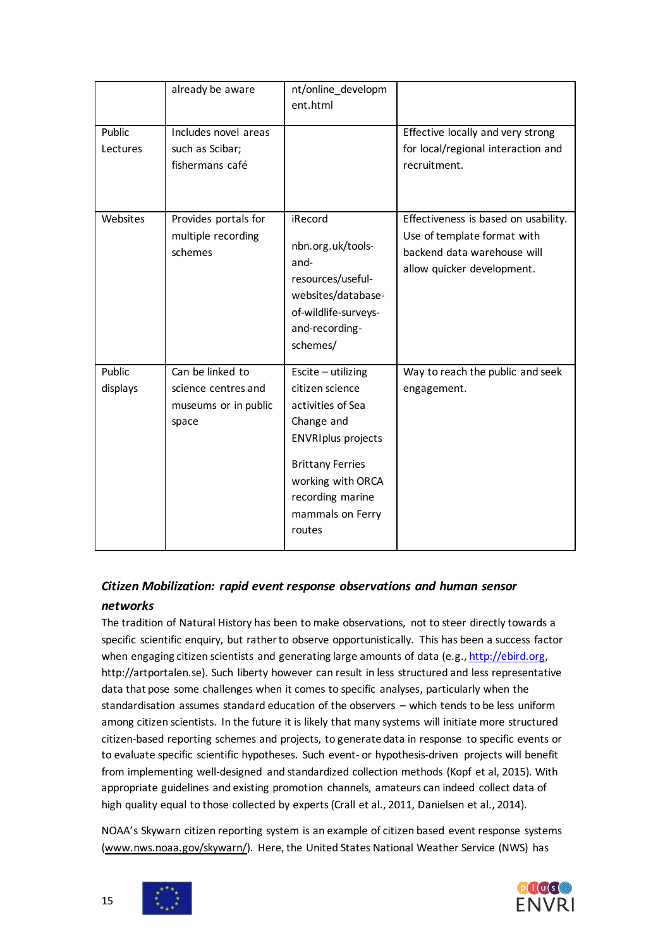|                    | already be aware                                                         | nt/online_developm<br>ent.html                                                                                                                                                                            |                                                                                                                                  |
|--------------------|--------------------------------------------------------------------------|-----------------------------------------------------------------------------------------------------------------------------------------------------------------------------------------------------------|----------------------------------------------------------------------------------------------------------------------------------|
| Public<br>Lectures | Includes novel areas<br>such as Scibar;<br>fishermans café               |                                                                                                                                                                                                           | Effective locally and very strong<br>for local/regional interaction and<br>recruitment.                                          |
| Websites           | Provides portals for<br>multiple recording<br>schemes                    | iRecord<br>nbn.org.uk/tools-<br>and-<br>resources/useful-<br>websites/database-<br>of-wildlife-surveys-<br>and-recording-<br>schemes/                                                                     | Effectiveness is based on usability.<br>Use of template format with<br>backend data warehouse will<br>allow quicker development. |
| Public<br>displays | Can be linked to<br>science centres and<br>museums or in public<br>space | $Escite - utilizing$<br>citizen science<br>activities of Sea<br>Change and<br><b>ENVRIplus projects</b><br><b>Brittany Ferries</b><br>working with ORCA<br>recording marine<br>mammals on Ferry<br>routes | Way to reach the public and seek<br>engagement.                                                                                  |

# <span id="page-14-0"></span>*Citizen Mobilization: rapid event response observations and human sensor networks*

The tradition of Natural History has been to make observations, not to steer directly towards a specific scientific enquiry, but rather to observe opportunistically. This has been a success factor when engaging citizen scientists and generating large amounts of data (e.g., [http://ebird.org,](http://ebird.org/) http://artportalen.se). Such liberty however can result in less structured and less representative data that pose some challenges when it comes to specific analyses, particularly when the standardisation assumes standard education of the observers – which tends to be less uniform among citizen scientists. In the future it is likely that many systems will initiate more structured citizen-based reporting schemes and projects, to generate data in response to specific events or to evaluate specific scientific hypotheses. Such event- or hypothesis-driven projects will benefit from implementing well-designed and standardized collection methods (Kopf et al, 2015). With appropriate guidelines and existing promotion channels, amateurs can indeed collect data of high quality equal to those collected by experts (Crall et al., 2011, Danielsen et al., 2014).

NOAA's Skywarn citizen reporting system is an example of citizen based event response systems [\(www.nws.noaa.gov/skywarn/\).](http://www.nws.noaa.gov/skywarn/) Here, the United States National Weather Service (NWS) has



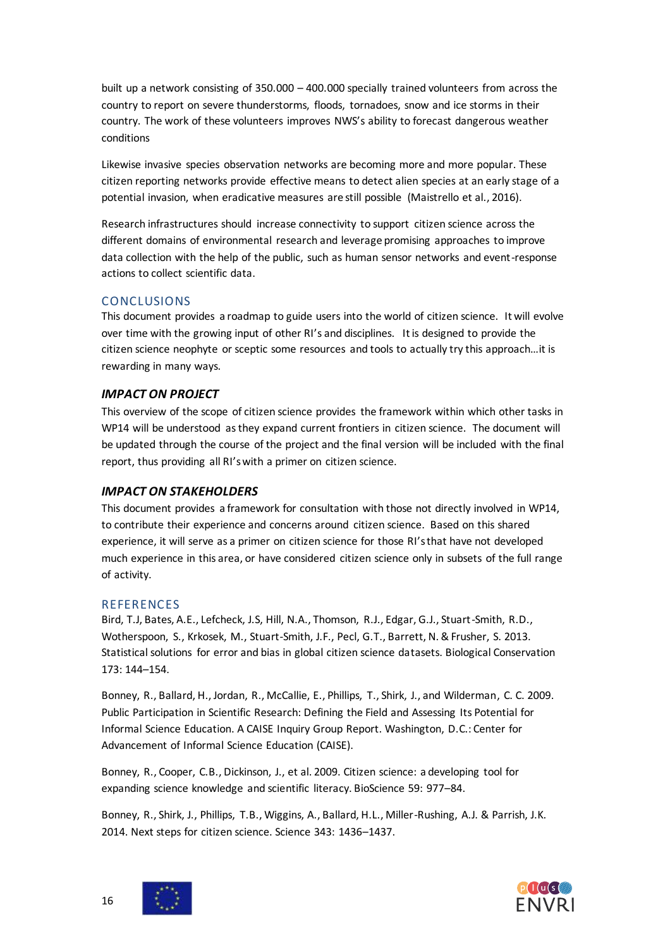built up a network consisting of 350.000 – 400.000 specially trained volunteers from across the country to report on severe thunderstorms, floods, tornadoes, snow and ice storms in their country. The work of these volunteers improves NWS's ability to forecast dangerous weather conditions

Likewise invasive species observation networks are becoming more and more popular. These citizen reporting networks provide effective means to detect alien species at an early stage of a potential invasion, when eradicative measures are still possible (Maistrello et al., 2016).

Research infrastructures should increase connectivity to support citizen science across the different domains of environmental research and leverage promising approaches to improve data collection with the help of the public, such as human sensor networks and event-response actions to collect scientific data.

#### <span id="page-15-0"></span>CONCLUSIONS

This document provides a roadmap to guide users into the world of citizen science. It will evolve over time with the growing input of other RI's and disciplines. It is designed to provide the citizen science neophyte or sceptic some resources and tools to actually try this approach…it is rewarding in many ways.

#### <span id="page-15-1"></span>*IMPACT ON PROJECT*

This overview of the scope of citizen science provides the framework within which other tasks in WP14 will be understood as they expand current frontiers in citizen science. The document will be updated through the course of the project and the final version will be included with the final report, thus providing all RI's with a primer on citizen science.

#### <span id="page-15-2"></span>*IMPACT ON STAKEHOLDERS*

This document provides a framework for consultation with those not directly involved in WP14, to contribute their experience and concerns around citizen science. Based on this shared experience, it will serve as a primer on citizen science for those RI's that have not developed much experience in this area, or have considered citizen science only in subsets of the full range of activity.

#### <span id="page-15-3"></span>REFERENCES

Bird, T.J, Bates, A.E., Lefcheck, J.S, Hill, N.A., Thomson, R.J., Edgar, G.J., Stuart-Smith, R.D., Wotherspoon, S., Krkosek, M., Stuart-Smith, J.F., Pecl, G.T., Barrett, N. & Frusher, S. 2013. Statistical solutions for error and bias in global citizen science datasets. Biological Conservation 173: 144–154.

Bonney, R., Ballard, H., Jordan, R., McCallie, E., Phillips, T., Shirk, J., and Wilderman, C. C. 2009. Public Participation in Scientific Research: Defining the Field and Assessing Its Potential for Informal Science Education. A CAISE Inquiry Group Report. Washington, D.C.: Center for Advancement of Informal Science Education (CAISE).

Bonney, R., Cooper, C.B., Dickinson, J., et al. 2009. Citizen science: a developing tool for expanding science knowledge and scientific literacy. BioScience 59: 977–84.

Bonney, R., Shirk, J., Phillips, T.B., Wiggins, A., Ballard, H.L., Miller-Rushing, A.J. & Parrish, J.K. 2014. Next steps for citizen science. Science 343: 1436–1437.



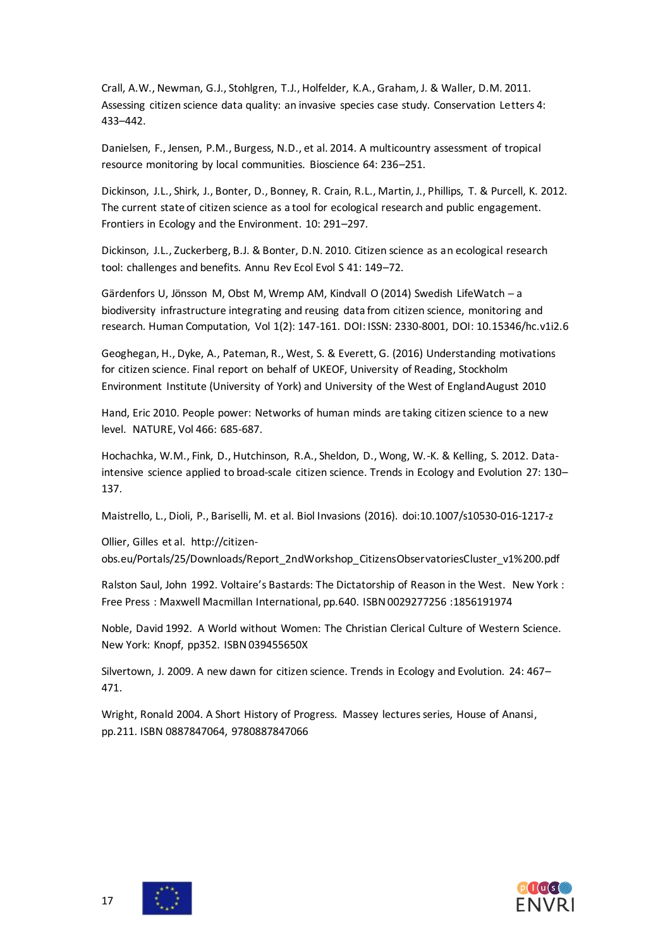Crall, A.W., Newman, G.J., Stohlgren, T.J., Holfelder, K.A., Graham, J. & Waller, D.M. 2011. Assessing citizen science data quality: an invasive species case study. Conservation Letters 4: 433–442.

Danielsen, F., Jensen, P.M., Burgess, N.D., et al. 2014. A multicountry assessment of tropical resource monitoring by local communities. Bioscience 64: 236–251.

Dickinson, J.L., Shirk, J., Bonter, D., Bonney, R. Crain, R.L., Martin, J., Phillips, T. & Purcell, K. 2012. The current state of citizen science as a tool for ecological research and public engagement. Frontiers in Ecology and the Environment. 10: 291–297.

Dickinson, J.L., Zuckerberg, B.J. & Bonter, D.N. 2010. Citizen science as an ecological research tool: challenges and benefits. Annu Rev Ecol Evol S 41: 149–72.

Gärdenfors U, Jönsson M, Obst M, Wremp AM, Kindvall O (2014) Swedish LifeWatch ─ a biodiversity infrastructure integrating and reusing data from citizen science, monitoring and research. Human Computation, Vol 1(2): 147-161. DOI: ISSN: 2330-8001, DOI: 10.15346/hc.v1i2.6

Geoghegan, H., Dyke, A., Pateman, R., West, S. & Everett, G. (2016) Understanding motivations for citizen science. Final report on behalf of UKEOF, University of Reading, Stockholm Environment Institute (University of York) and University of the West of EnglandAugust 2010

Hand, Eric 2010. People power: Networks of human minds are taking citizen science to a new level. NATURE, Vol 466: 685-687.

Hochachka, W.M., Fink, D., Hutchinson, R.A., Sheldon, D., Wong, W.-K. & Kelling, S. 2012. Dataintensive science applied to broad-scale citizen science. Trends in Ecology and Evolution 27: 130– 137.

Maistrello, L., Dioli, P., Bariselli, M. et al. Biol Invasions (2016). doi:10.1007/s10530-016-1217-z

Ollier, Gilles et al. http://citizenobs.eu/Portals/25/Downloads/Report\_2ndWorkshop\_CitizensObservatoriesCluster\_v1%200.pdf

Ralston Saul, John 1992. Voltaire's Bastards: The Dictatorship of Reason in the West. New York : Free Press : Maxwell Macmillan International, pp.640. ISBN 0029277256 :1856191974

Noble, David 1992. A World without Women: The Christian Clerical Culture of Western Science. New York: Knopf, pp352. ISBN 039455650X

Silvertown, J. 2009. A new dawn for citizen science. Trends in Ecology and Evolution. 24: 467– 471.

<span id="page-16-0"></span>Wright, Ronald 2004. A Short History of Progress. Massey lectures series, House of Anansi, pp.211. ISBN 0887847064, 9780887847066



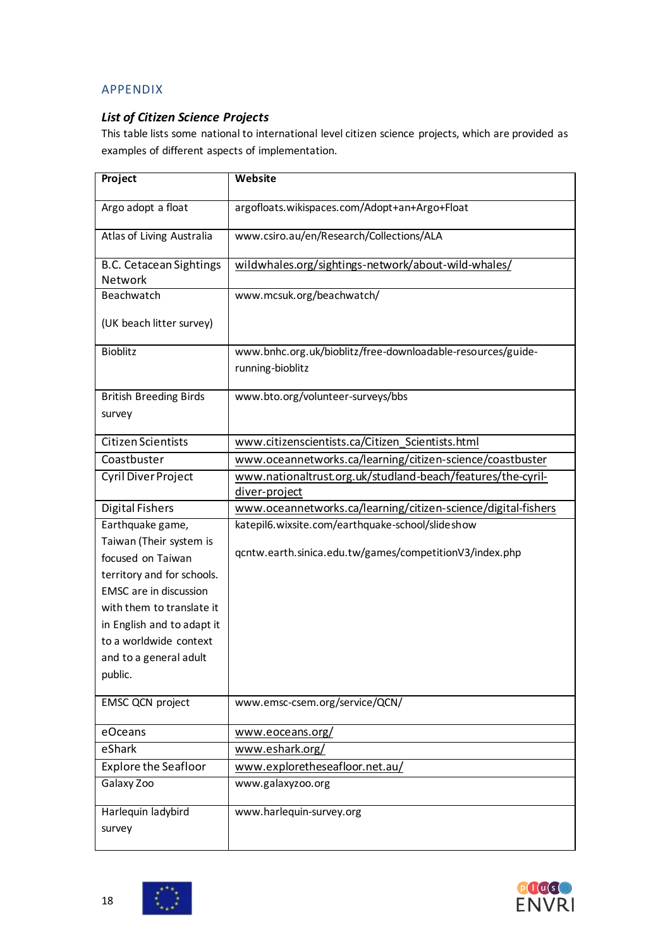# APPENDIX

# <span id="page-17-0"></span>*List of Citizen Science Projects*

This table lists some national to international level citizen science projects, which are provided as examples of different aspects of implementation.

| Project                        | <b>Website</b>                                                |
|--------------------------------|---------------------------------------------------------------|
| Argo adopt a float             | argofloats.wikispaces.com/Adopt+an+Argo+Float                 |
| Atlas of Living Australia      | www.csiro.au/en/Research/Collections/ALA                      |
| <b>B.C. Cetacean Sightings</b> | wildwhales.org/sightings-network/about-wild-whales/           |
| Network                        |                                                               |
| Beachwatch                     | www.mcsuk.org/beachwatch/                                     |
| (UK beach litter survey)       |                                                               |
| <b>Bioblitz</b>                | www.bnhc.org.uk/bioblitz/free-downloadable-resources/guide-   |
|                                | running-bioblitz                                              |
| <b>British Breeding Birds</b>  | www.bto.org/volunteer-surveys/bbs                             |
| survey                         |                                                               |
| <b>Citizen Scientists</b>      | www.citizenscientists.ca/Citizen_Scientists.html              |
| Coastbuster                    | www.oceannetworks.ca/learning/citizen-science/coastbuster     |
| <b>Cyril Diver Project</b>     | www.nationaltrust.org.uk/studland-beach/features/the-cyril-   |
|                                | diver-project                                                 |
| <b>Digital Fishers</b>         | www.oceannetworks.ca/learning/citizen-science/digital-fishers |
| Earthquake game,               | katepil6.wixsite.com/earthquake-school/slideshow              |
| Taiwan (Their system is        |                                                               |
| focused on Taiwan              | qcntw.earth.sinica.edu.tw/games/competitionV3/index.php       |
| territory and for schools.     |                                                               |
| <b>EMSC</b> are in discussion  |                                                               |
| with them to translate it      |                                                               |
| in English and to adapt it     |                                                               |
| to a worldwide context         |                                                               |
| and to a general adult         |                                                               |
| public.                        |                                                               |
| <b>EMSC QCN project</b>        | www.emsc-csem.org/service/QCN/                                |
| eOceans                        | www.eoceans.org/                                              |
| eShark                         | www.eshark.org/                                               |
| <b>Explore the Seafloor</b>    | www.exploretheseafloor.net.au/                                |
| Galaxy Zoo                     | www.galaxyzoo.org                                             |
| Harlequin ladybird             | www.harlequin-survey.org                                      |
| survey                         |                                                               |
|                                |                                                               |

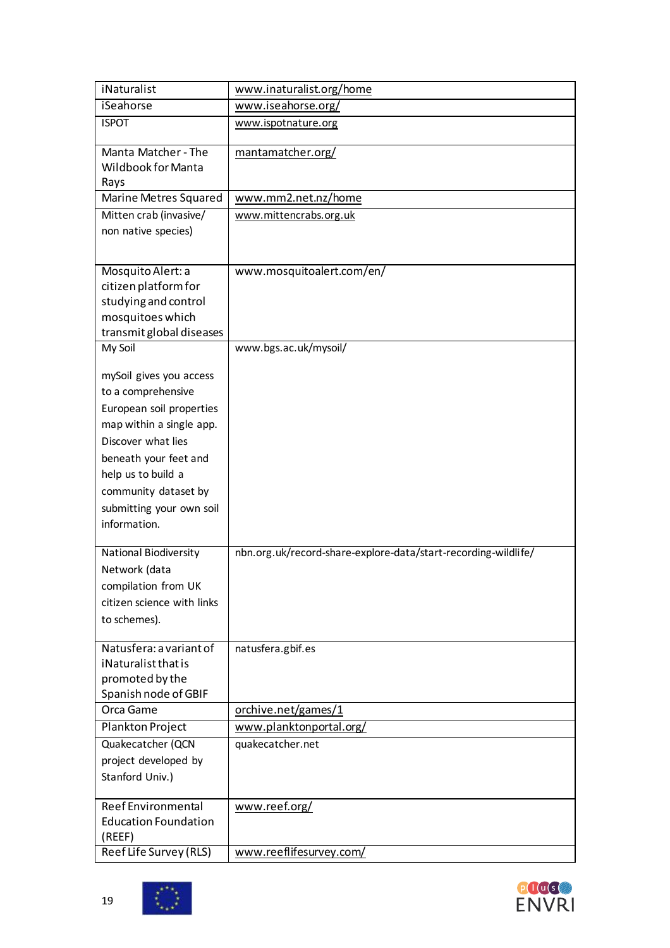| iNaturalist                                 | www.inaturalist.org/home                                       |
|---------------------------------------------|----------------------------------------------------------------|
| <i>iSeahorse</i>                            | www.iseahorse.org/                                             |
| <b>ISPOT</b>                                | www.ispotnature.org                                            |
|                                             |                                                                |
| Manta Matcher - The                         | mantamatcher.org/                                              |
| Wildbook for Manta                          |                                                                |
| Rays                                        |                                                                |
| Marine Metres Squared                       | www.mm2.net.nz/home                                            |
| Mitten crab (invasive/                      | www.mittencrabs.org.uk                                         |
| non native species)                         |                                                                |
|                                             |                                                                |
| Mosquito Alert: a                           | www.mosquitoalert.com/en/                                      |
| citizen platform for                        |                                                                |
| studying and control                        |                                                                |
| mosquitoes which                            |                                                                |
| transmit global diseases                    |                                                                |
| My Soil                                     | www.bgs.ac.uk/mysoil/                                          |
| mySoil gives you access                     |                                                                |
| to a comprehensive                          |                                                                |
| European soil properties                    |                                                                |
| map within a single app.                    |                                                                |
| Discover what lies                          |                                                                |
|                                             |                                                                |
| beneath your feet and<br>help us to build a |                                                                |
|                                             |                                                                |
| community dataset by                        |                                                                |
| submitting your own soil                    |                                                                |
| information.                                |                                                                |
| <b>National Biodiversity</b>                | nbn.org.uk/record-share-explore-data/start-recording-wildlife/ |
| Network (data                               |                                                                |
| compilation from UK                         |                                                                |
| citizen science with links                  |                                                                |
| to schemes).                                |                                                                |
|                                             |                                                                |
| Natusfera: a variant of                     | natusfera.gbif.es                                              |
| iNaturalist that is                         |                                                                |
| promoted by the                             |                                                                |
| Spanish node of GBIF                        |                                                                |
| Orca Game                                   | orchive.net/games/1                                            |
| Plankton Project                            | www.planktonportal.org/                                        |
| Quakecatcher (QCN                           | quakecatcher.net                                               |
| project developed by                        |                                                                |
| Stanford Univ.)                             |                                                                |
| <b>Reef Environmental</b>                   | www.reef.org/                                                  |
| <b>Education Foundation</b>                 |                                                                |
| (REEF)                                      |                                                                |
| Reef Life Survey (RLS)                      | www.reeflifesurvey.com/                                        |